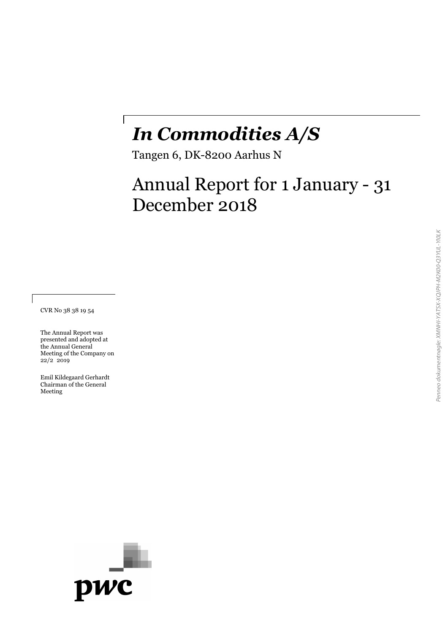# *In Commodities A/S*

Tangen 6, DK-8200 Aarhus N

 $\overline{\phantom{a}}$ 

# Annual Report for 1 January - 31 December 2018

CVR No 38 38 19 54

The Annual Report was presented and adopted at the Annual General Meeting of the Company on 22/2 2019

Emil Kildegaard Gerhardt Chairman of the General Meeting

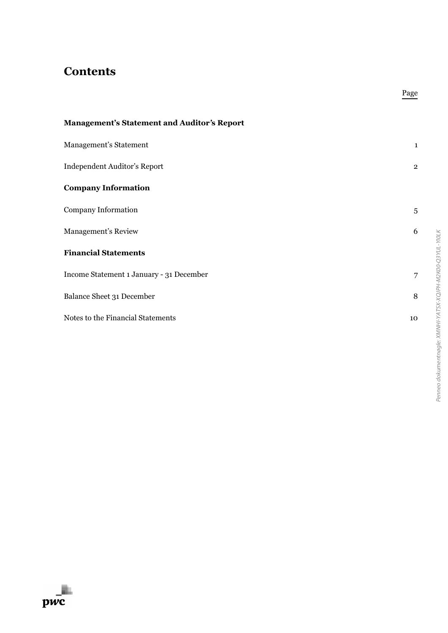## **Contents**

| <b>Management's Statement and Auditor's Report</b> |                |
|----------------------------------------------------|----------------|
| Management's Statement                             | $\mathbf{1}$   |
| <b>Independent Auditor's Report</b>                | $\overline{2}$ |
| <b>Company Information</b>                         |                |
| Company Information                                | 5              |
| Management's Review                                | 6              |
| <b>Financial Statements</b>                        |                |
| Income Statement 1 January - 31 December           | $\overline{7}$ |
| Balance Sheet 31 December                          | 8              |
| Notes to the Financial Statements                  | 10             |
|                                                    |                |

Page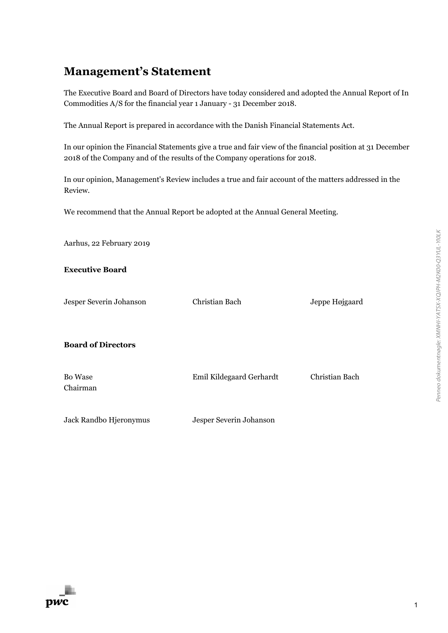## **Management's Statement**

The Executive Board and Board of Directors have today considered and adopted the Annual Report of In Commodities A/S for the financial year 1 January - 31 December 2018.

The Annual Report is prepared in accordance with the Danish Financial Statements Act.

In our opinion the Financial Statements give a true and fair view of the financial position at 31 December 2018 of the Company and of the results of the Company operations for 2018.

In our opinion, Management's Review includes a true and fair account of the matters addressed in the Review.

We recommend that the Annual Report be adopted at the Annual General Meeting.

| Aarhus, 22 February 2019   |                          |                |
|----------------------------|--------------------------|----------------|
| <b>Executive Board</b>     |                          |                |
| Jesper Severin Johanson    | Christian Bach           | Jeppe Højgaard |
| <b>Board of Directors</b>  |                          |                |
| <b>Bo</b> Wase<br>Chairman | Emil Kildegaard Gerhardt | Christian Bach |
| Jack Randbo Hjeronymus     | Jesper Severin Johanson  |                |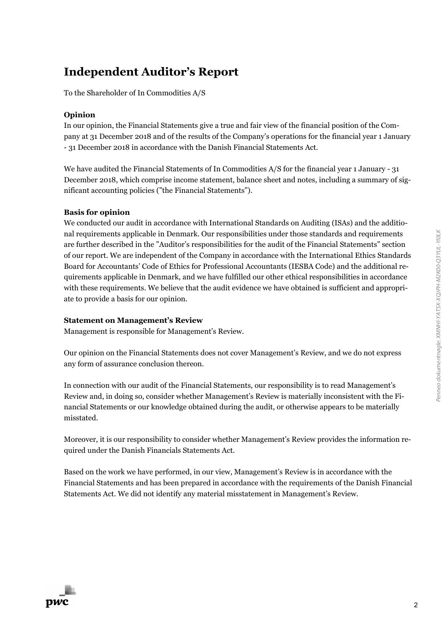## **Independent Auditor's Report**

To the Shareholder of In Commodities A/S

#### **Opinion**

In our opinion, the Financial Statements give a true and fair view of the financial position of the Company at 31 December 2018 and of the results of the Company's operations for the financial year 1 January - 31 December 2018 in accordance with the Danish Financial Statements Act.

We have audited the Financial Statements of In Commodities A/S for the financial year 1 January - 31 December 2018, which comprise income statement, balance sheet and notes, including a summary of significant accounting policies ("the Financial Statements").

#### **Basis for opinion**

We conducted our audit in accordance with International Standards on Auditing (ISAs) and the additional requirements applicable in Denmark. Our responsibilities under those standards and requirements are further described in the "Auditor's responsibilities for the audit of the Financial Statements" section of our report. We are independent of the Company in accordance with the International Ethics Standards Board for Accountants' Code of Ethics for Professional Accountants (IESBA Code) and the additional requirements applicable in Denmark, and we have fulfilled our other ethical responsibilities in accordance with these requirements. We believe that the audit evidence we have obtained is sufficient and appropriate to provide a basis for our opinion.

#### **Statement on Management's Review**

Management is responsible for Management's Review.

Our opinion on the Financial Statements does not cover Management's Review, and we do not express any form of assurance conclusion thereon.

In connection with our audit of the Financial Statements, our responsibility is to read Management's Review and, in doing so, consider whether Management's Review is materially inconsistent with the Financial Statements or our knowledge obtained during the audit, or otherwise appears to be materially misstated.

Moreover, it is our responsibility to consider whether Management's Review provides the information required under the Danish Financials Statements Act.

Based on the work we have performed, in our view, Management's Review is in accordance with the Financial Statements and has been prepared in accordance with the requirements of the Danish Financial Statements Act. We did not identify any material misstatement in Management's Review.

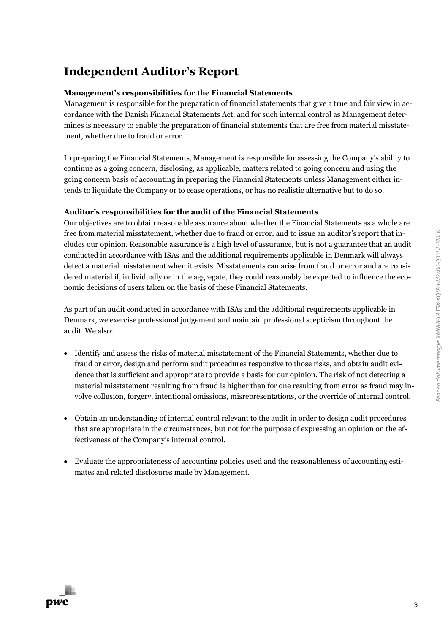# **Independent Auditor's Report**

#### **Management's responsibilities for the Financial Statements**

Management is responsible for the preparation of financial statements that give a true and fair view in accordance with the Danish Financial Statements Act, and for such internal control as Management determines is necessary to enable the preparation of financial statements that are free from material misstatement, whether due to fraud or error.

In preparing the Financial Statements, Management is responsible for assessing the Company's ability to continue as a going concern, disclosing, as applicable, matters related to going concern and using the going concern basis of accounting in preparing the Financial Statements unless Management either intends to liquidate the Company or to cease operations, or has no realistic alternative but to do so.

#### **Auditor's responsibilities for the audit of the Financial Statements**

Our objectives are to obtain reasonable assurance about whether the Financial Statements as a whole are free from material misstatement, whether due to fraud or error, and to issue an auditor's report that includes our opinion. Reasonable assurance is a high level of assurance, but is not a guarantee that an audit conducted in accordance with ISAs and the additional requirements applicable in Denmark will always detect a material misstatement when it exists. Misstatements can arise from fraud or error and are considered material if, individually or in the aggregate, they could reasonably be expected to influence the economic decisions of users taken on the basis of these Financial Statements.

As part of an audit conducted in accordance with ISAs and the additional requirements applicable in Denmark, we exercise professional judgement and maintain professional scepticism throughout the audit. We also:

- Identify and assess the risks of material misstatement of the Financial Statements, whether due to fraud or error, design and perform audit procedures responsive to those risks, and obtain audit evidence that is sufficient and appropriate to provide a basis for our opinion. The risk of not detecting a material misstatement resulting from fraud is higher than for one resulting from error as fraud may involve collusion, forgery, intentional omissions, misrepresentations, or the override of internal control.
- Obtain an understanding of internal control relevant to the audit in order to design audit procedures that are appropriate in the circumstances, but not for the purpose of expressing an opinion on the effectiveness of the Company's internal control.
- Evaluate the appropriateness of accounting policies used and the reasonableness of accounting estimates and related disclosures made by Management.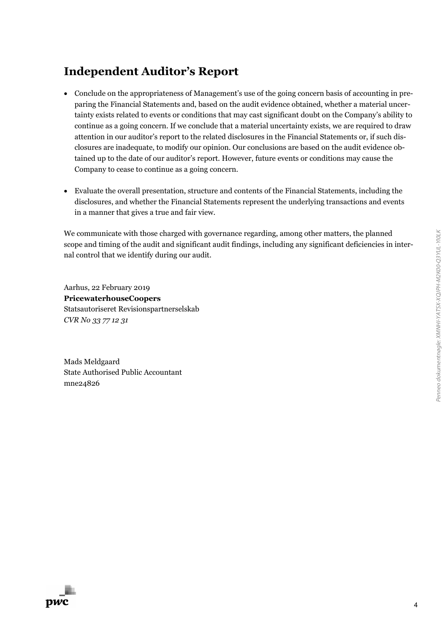# **Independent Auditor's Report**

- Conclude on the appropriateness of Management's use of the going concern basis of accounting in preparing the Financial Statements and, based on the audit evidence obtained, whether a material uncertainty exists related to events or conditions that may cast significant doubt on the Company's ability to continue as a going concern. If we conclude that a material uncertainty exists, we are required to draw attention in our auditor's report to the related disclosures in the Financial Statements or, if such disclosures are inadequate, to modify our opinion. Our conclusions are based on the audit evidence obtained up to the date of our auditor's report. However, future events or conditions may cause the Company to cease to continue as a going concern.
- Evaluate the overall presentation, structure and contents of the Financial Statements, including the disclosures, and whether the Financial Statements represent the underlying transactions and events in a manner that gives a true and fair view.

We communicate with those charged with governance regarding, among other matters, the planned scope and timing of the audit and significant audit findings, including any significant deficiencies in internal control that we identify during our audit.

Aarhus, 22 February 2019 **PricewaterhouseCoopers** Statsautoriseret Revisionspartnerselskab *CVR No 33 77 12 31*

Mads Meldgaard State Authorised Public Accountant mne24826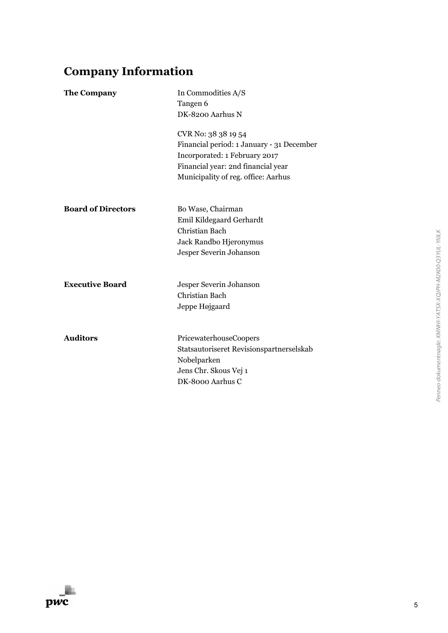# **Company Information**

| <b>The Company</b>        | In Commodities A/S<br>Tangen 6<br>DK-8200 Aarhus N                                                                                                                             |
|---------------------------|--------------------------------------------------------------------------------------------------------------------------------------------------------------------------------|
|                           | CVR No: 38 38 19 54<br>Financial period: 1 January - 31 December<br>Incorporated: 1 February 2017<br>Financial year: 2nd financial year<br>Municipality of reg. office: Aarhus |
| <b>Board of Directors</b> | Bo Wase, Chairman<br>Emil Kildegaard Gerhardt<br>Christian Bach<br>Jack Randbo Hjeronymus<br>Jesper Severin Johanson                                                           |
| <b>Executive Board</b>    | Jesper Severin Johanson<br>Christian Bach<br>Jeppe Højgaard                                                                                                                    |
| <b>Auditors</b>           | PricewaterhouseCoopers<br>Statsautoriseret Revisionspartnerselskab<br>Nobelparken<br>Jens Chr. Skous Vej 1<br>DK-8000 Aarhus C                                                 |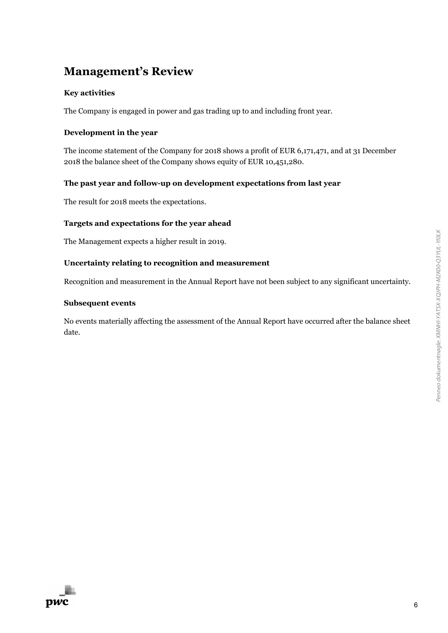# **Management's Review**

#### **Key activities**

The Company is engaged in power and gas trading up to and including front year.

#### **Development in the year**

The income statement of the Company for 2018 shows a profit of EUR 6,171,471, and at 31 December 2018 the balance sheet of the Company shows equity of EUR 10,451,280.

#### **The past year and follow-up on development expectations from last year**

The result for 2018 meets the expectations.

#### **Targets and expectations for the year ahead**

The Management expects a higher result in 2019.

#### **Uncertainty relating to recognition and measurement**

Recognition and measurement in the Annual Report have not been subject to any significant uncertainty.

#### **Subsequent events**

No events materially affecting the assessment of the Annual Report have occurred after the balance sheet date.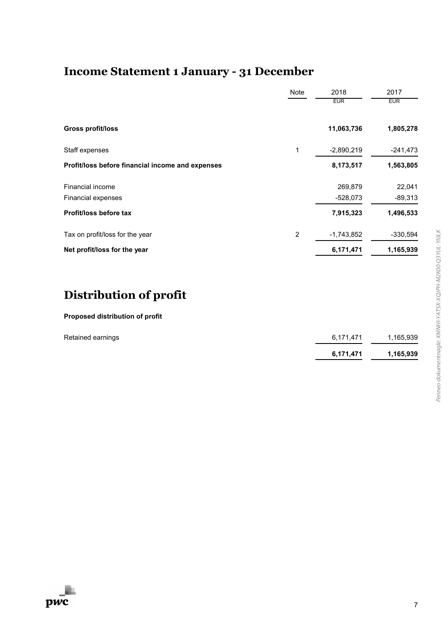### **Income Statement 1 January - 31 December**

|                                                  | Note           | 2018         | 2017       |
|--------------------------------------------------|----------------|--------------|------------|
|                                                  |                | <b>EUR</b>   | <b>EUR</b> |
| <b>Gross profit/loss</b>                         |                | 11,063,736   | 1,805,278  |
| Staff expenses                                   | 1              | $-2,890,219$ | $-241,473$ |
| Profit/loss before financial income and expenses |                | 8,173,517    | 1,563,805  |
| Financial income                                 |                | 269,879      | 22,041     |
| Financial expenses                               |                | -528,073     | $-89,313$  |
| Profit/loss before tax                           |                | 7,915,323    | 1,496,533  |
| Tax on profit/loss for the year                  | $\overline{2}$ | $-1,743,852$ | $-330,594$ |
| Net profit/loss for the year                     |                | 6,171,471    | 1,165,939  |
|                                                  |                |              |            |

## **Distribution of profit**

#### **Proposed distribution of profit**

| Retained earnings | 6.171.471 | 1,165,939 |
|-------------------|-----------|-----------|
|                   | 6,171,471 | 1,165,939 |

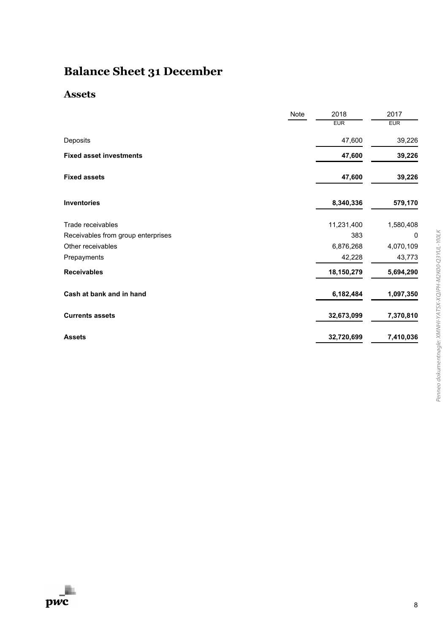# **Balance Sheet 31 December**

### **Assets**

|                                    | Note | 2018       | 2017       |
|------------------------------------|------|------------|------------|
|                                    |      | <b>EUR</b> | <b>EUR</b> |
| Deposits                           |      | 47,600     | 39,226     |
| <b>Fixed asset investments</b>     |      | 47,600     | 39,226     |
| <b>Fixed assets</b>                |      | 47,600     | 39,226     |
| <b>Inventories</b>                 |      | 8,340,336  | 579,170    |
| Trade receivables                  |      | 11,231,400 | 1,580,408  |
| Receivables from group enterprises |      | 383        | 0          |
| Other receivables                  |      | 6,876,268  | 4,070,109  |
| Prepayments                        |      | 42,228     | 43,773     |
| <b>Receivables</b>                 |      | 18,150,279 | 5,694,290  |
| Cash at bank and in hand           |      | 6,182,484  | 1,097,350  |
| <b>Currents assets</b>             |      | 32,673,099 | 7,370,810  |
| <b>Assets</b>                      |      | 32,720,699 | 7,410,036  |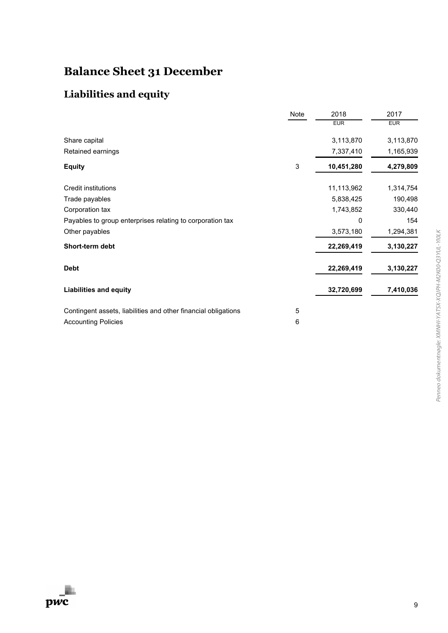# **Balance Sheet 31 December**

## **Liabilities and equity**

|                                                                | Note | 2018       | 2017       |
|----------------------------------------------------------------|------|------------|------------|
|                                                                |      | <b>EUR</b> | <b>EUR</b> |
| Share capital                                                  |      | 3,113,870  | 3,113,870  |
| Retained earnings                                              |      | 7,337,410  | 1,165,939  |
| <b>Equity</b>                                                  | 3    | 10,451,280 | 4,279,809  |
| Credit institutions                                            |      | 11,113,962 | 1,314,754  |
| Trade payables                                                 |      | 5,838,425  | 190,498    |
| Corporation tax                                                |      | 1,743,852  | 330,440    |
| Payables to group enterprises relating to corporation tax      |      | 0          | 154        |
| Other payables                                                 |      | 3,573,180  | 1,294,381  |
| Short-term debt                                                |      | 22,269,419 | 3,130,227  |
| <b>Debt</b>                                                    |      | 22,269,419 | 3,130,227  |
| <b>Liabilities and equity</b>                                  |      | 32,720,699 | 7,410,036  |
| Contingent assets, liabilities and other financial obligations | 5    |            |            |
| <b>Accounting Policies</b>                                     | 6    |            |            |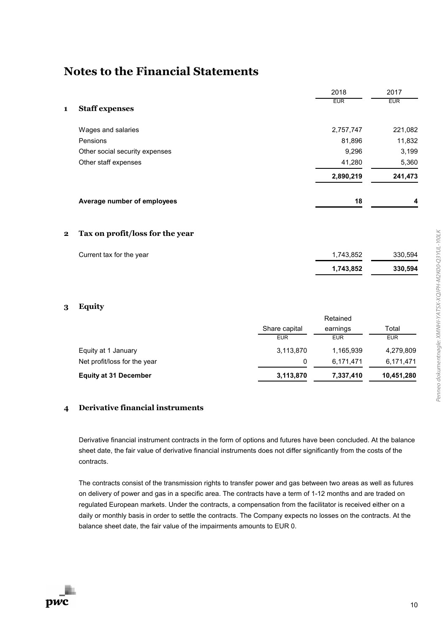|                                | 2018       | 2017       |
|--------------------------------|------------|------------|
| <b>Staff expenses</b><br>1     | <b>EUR</b> | <b>EUR</b> |
| Wages and salaries             | 2,757,747  | 221,082    |
| Pensions                       | 81,896     | 11,832     |
| Other social security expenses | 9,296      | 3,199      |
| Other staff expenses           | 41,280     | 5,360      |
|                                | 2,890,219  | 241,473    |
| Average number of employees    | 18         | 4          |

#### **2 Tax on profit/loss for the year**

| Current tax for the year | 1.743.852 | 330,594 |
|--------------------------|-----------|---------|
|                          | 1,743,852 | 330,594 |

#### **3 Equity**

|                              |               | Retained   |            |
|------------------------------|---------------|------------|------------|
|                              | Share capital | earnings   | Total      |
|                              | <b>EUR</b>    | <b>EUR</b> | <b>EUR</b> |
| Equity at 1 January          | 3,113,870     | 1,165,939  | 4,279,809  |
| Net profit/loss for the year | 0             | 6.171.471  | 6,171,471  |
| <b>Equity at 31 December</b> | 3,113,870     | 7,337,410  | 10,451,280 |

#### **4 Derivative financial instruments**

Derivative financial instrument contracts in the form of options and futures have been concluded. At the balance sheet date, the fair value of derivative financial instruments does not differ significantly from the costs of the contracts.

The contracts consist of the transmission rights to transfer power and gas between two areas as well as futures on delivery of power and gas in a specific area. The contracts have a term of 1-12 months and are traded on regulated European markets. Under the contracts, a compensation from the facilitator is received either on a daily or monthly basis in order to settle the contracts. The Company expects no losses on the contracts. At the balance sheet date, the fair value of the impairments amounts to EUR 0.

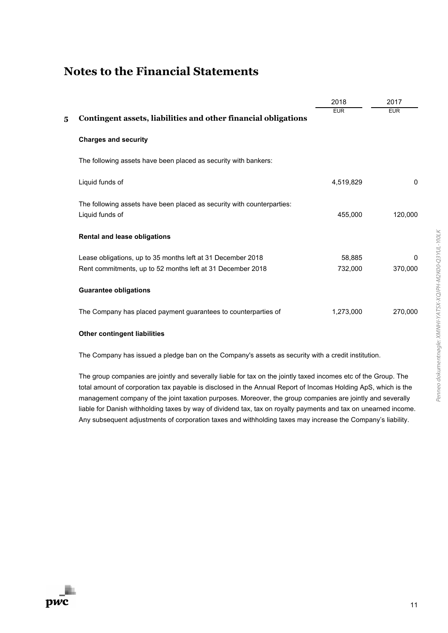|   |                                                                                                                           | 2018              | 2017         |
|---|---------------------------------------------------------------------------------------------------------------------------|-------------------|--------------|
| 5 | Contingent assets, liabilities and other financial obligations                                                            | <b>EUR</b>        | <b>EUR</b>   |
|   | <b>Charges and security</b>                                                                                               |                   |              |
|   | The following assets have been placed as security with bankers:                                                           |                   |              |
|   | Liquid funds of                                                                                                           | 4,519,829         | 0            |
|   | The following assets have been placed as security with counterparties:<br>Liquid funds of                                 | 455,000           | 120,000      |
|   | <b>Rental and lease obligations</b>                                                                                       |                   |              |
|   | Lease obligations, up to 35 months left at 31 December 2018<br>Rent commitments, up to 52 months left at 31 December 2018 | 58,885<br>732,000 | 0<br>370,000 |
|   | <b>Guarantee obligations</b>                                                                                              |                   |              |
|   | The Company has placed payment guarantees to counterparties of                                                            | 1,273,000         | 270,000      |

#### **Other contingent liabilities**

The Company has issued a pledge ban on the Company's assets as security with a credit institution.

The group companies are jointly and severally liable for tax on the jointly taxed incomes etc of the Group. The total amount of corporation tax payable is disclosed in the Annual Report of Incomas Holding ApS, which is the management company of the joint taxation purposes. Moreover, the group companies are jointly and severally liable for Danish withholding taxes by way of dividend tax, tax on royalty payments and tax on unearned income. Any subsequent adjustments of corporation taxes and withholding taxes may increase the Company's liability.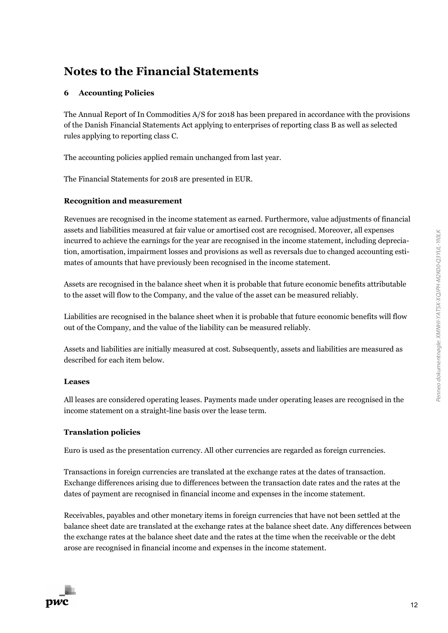#### **6 Accounting Policies**

The Annual Report of In Commodities A/S for 2018 has been prepared in accordance with the provisions of the Danish Financial Statements Act applying to enterprises of reporting class B as well as selected rules applying to reporting class C.

The accounting policies applied remain unchanged from last year.

The Financial Statements for 2018 are presented in EUR.

#### **Recognition and measurement**

Revenues are recognised in the income statement as earned. Furthermore, value adjustments of financial assets and liabilities measured at fair value or amortised cost are recognised. Moreover, all expenses incurred to achieve the earnings for the year are recognised in the income statement, including depreciation, amortisation, impairment losses and provisions as well as reversals due to changed accounting estimates of amounts that have previously been recognised in the income statement.

Assets are recognised in the balance sheet when it is probable that future economic benefits attributable to the asset will flow to the Company, and the value of the asset can be measured reliably.

Liabilities are recognised in the balance sheet when it is probable that future economic benefits will flow out of the Company, and the value of the liability can be measured reliably.

Assets and liabilities are initially measured at cost. Subsequently, assets and liabilities are measured as described for each item below.

#### **Leases**

All leases are considered operating leases. Payments made under operating leases are recognised in the income statement on a straight-line basis over the lease term.

#### **Translation policies**

Euro is used as the presentation currency. All other currencies are regarded as foreign currencies.

Transactions in foreign currencies are translated at the exchange rates at the dates of transaction. Exchange differences arising due to differences between the transaction date rates and the rates at the dates of payment are recognised in financial income and expenses in the income statement.

Receivables, payables and other monetary items in foreign currencies that have not been settled at the balance sheet date are translated at the exchange rates at the balance sheet date. Any differences between the exchange rates at the balance sheet date and the rates at the time when the receivable or the debt arose are recognised in financial income and expenses in the income statement.

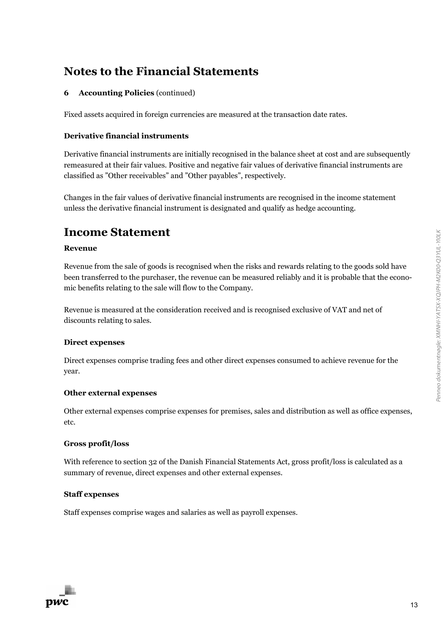#### **6 Accounting Policies** (continued)

Fixed assets acquired in foreign currencies are measured at the transaction date rates.

#### **Derivative financial instruments**

Derivative financial instruments are initially recognised in the balance sheet at cost and are subsequently remeasured at their fair values. Positive and negative fair values of derivative financial instruments are classified as "Other receivables" and "Other payables", respectively.

Changes in the fair values of derivative financial instruments are recognised in the income statement unless the derivative financial instrument is designated and qualify as hedge accounting.

### **Income Statement**

#### **Revenue**

Revenue from the sale of goods is recognised when the risks and rewards relating to the goods sold have been transferred to the purchaser, the revenue can be measured reliably and it is probable that the economic benefits relating to the sale will flow to the Company.

Revenue is measured at the consideration received and is recognised exclusive of VAT and net of discounts relating to sales.

#### **Direct expenses**

Direct expenses comprise trading fees and other direct expenses consumed to achieve revenue for the year.

#### **Other external expenses**

Other external expenses comprise expenses for premises, sales and distribution as well as office expenses, etc.

#### **Gross profit/loss**

With reference to section 32 of the Danish Financial Statements Act, gross profit/loss is calculated as a summary of revenue, direct expenses and other external expenses.

#### **Staff expenses**

Staff expenses comprise wages and salaries as well as payroll expenses.

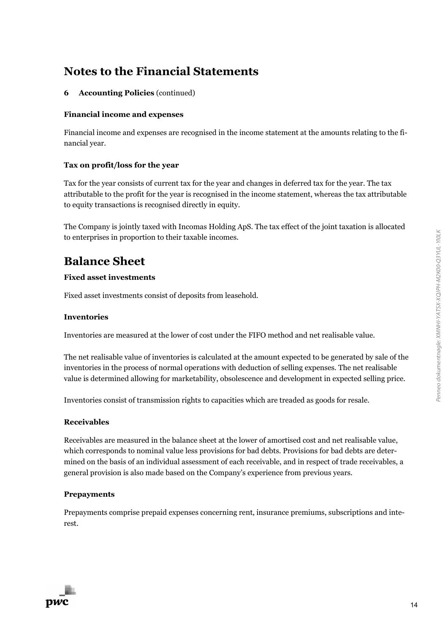#### **6 Accounting Policies** (continued)

#### **Financial income and expenses**

Financial income and expenses are recognised in the income statement at the amounts relating to the financial year.

#### **Tax on profit/loss for the year**

Tax for the year consists of current tax for the year and changes in deferred tax for the year. The tax attributable to the profit for the year is recognised in the income statement, whereas the tax attributable to equity transactions is recognised directly in equity.

The Company is jointly taxed with Incomas Holding ApS. The tax effect of the joint taxation is allocated to enterprises in proportion to their taxable incomes.

### **Balance Sheet**

#### **Fixed asset investments**

Fixed asset investments consist of deposits from leasehold.

#### **Inventories**

Inventories are measured at the lower of cost under the FIFO method and net realisable value.

The net realisable value of inventories is calculated at the amount expected to be generated by sale of the inventories in the process of normal operations with deduction of selling expenses. The net realisable value is determined allowing for marketability, obsolescence and development in expected selling price.

Inventories consist of transmission rights to capacities which are treaded as goods for resale.

#### **Receivables**

Receivables are measured in the balance sheet at the lower of amortised cost and net realisable value, which corresponds to nominal value less provisions for bad debts. Provisions for bad debts are determined on the basis of an individual assessment of each receivable, and in respect of trade receivables, a general provision is also made based on the Company's experience from previous years.

#### **Prepayments**

Prepayments comprise prepaid expenses concerning rent, insurance premiums, subscriptions and interest.

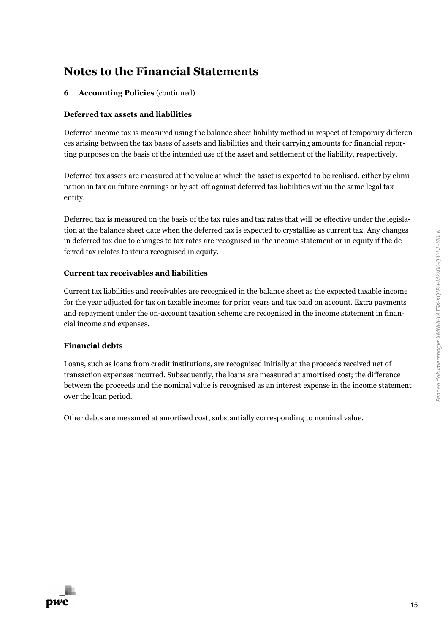#### **6 Accounting Policies** (continued)

#### **Deferred tax assets and liabilities**

Deferred income tax is measured using the balance sheet liability method in respect of temporary differences arising between the tax bases of assets and liabilities and their carrying amounts for financial reporting purposes on the basis of the intended use of the asset and settlement of the liability, respectively.

Deferred tax assets are measured at the value at which the asset is expected to be realised, either by elimination in tax on future earnings or by set-off against deferred tax liabilities within the same legal tax entity.

Deferred tax is measured on the basis of the tax rules and tax rates that will be effective under the legislation at the balance sheet date when the deferred tax is expected to crystallise as current tax. Any changes in deferred tax due to changes to tax rates are recognised in the income statement or in equity if the deferred tax relates to items recognised in equity.

#### **Current tax receivables and liabilities**

Current tax liabilities and receivables are recognised in the balance sheet as the expected taxable income for the year adjusted for tax on taxable incomes for prior years and tax paid on account. Extra payments and repayment under the on-account taxation scheme are recognised in the income statement in financial income and expenses.

#### **Financial debts**

Loans, such as loans from credit institutions, are recognised initially at the proceeds received net of transaction expenses incurred. Subsequently, the loans are measured at amortised cost; the difference between the proceeds and the nominal value is recognised as an interest expense in the income statement over the loan period.

Other debts are measured at amortised cost, substantially corresponding to nominal value.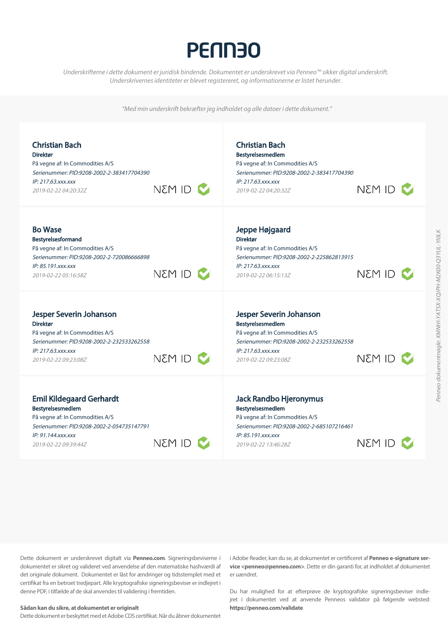# **PENN30**

*Underskrifterne i dette dokument er juridisk bindende. Dokumentet er underskrevet via Penneo™ sikker digital underskrift*. Underskrivernes identiteter er blevet registereret, og informationerne er listet herunder.

"Med min underskrift bekræfter jeg indholdet og alle datoer i dette dokument."

| <b>Christian Bach</b><br><b>Direktør</b><br>På vegne af: In Commodities A/S<br>Serienummer: PID:9208-2002-2-383417704390<br>IP: 217.63.xxxxx<br>2019-02-22 04:20:32Z                 | NEM ID                        | <b>Christian Bach</b><br>Bestyrelsesmedlem<br>På vegne af: In Commodities A/S<br>Serienummer: PID:9208-2002-2-383417704390<br>IP: 217.63.xxxxx<br>2019-02-22 04:20:32Z     | $\blacksquare$ OI M3N |
|--------------------------------------------------------------------------------------------------------------------------------------------------------------------------------------|-------------------------------|----------------------------------------------------------------------------------------------------------------------------------------------------------------------------|-----------------------|
| <b>Bo Wase</b><br>Bestyrelsesformand<br>På vegne af: In Commodities A/S<br>Serienummer: PID:9208-2002-2-720086666898<br>IP: 85.191.xxx.xxx<br>2019-02-22 05:16:58Z                   | NEM ID                        | Jeppe Højgaard<br><b>Direktør</b><br>På vegne af: In Commodities A/S<br>Serienummer: PID:9208-2002-2-225862813915<br>IP: 217.63.xxx.xxx<br>2019-02-22 06:15:13Z            | NEM ID C              |
| Jesper Severin Johanson<br><b>Direktør</b><br>På vegne af: In Commodities A/S<br>Serienummer: PID:9208-2002-2-232533262558<br>IP: 217.63.xxx.xxx<br>2019-02-22 09:23:08Z             | $\blacksquare$ OI M3 <i>N</i> | Jesper Severin Johanson<br>Bestyrelsesmedlem<br>På vegne af: In Commodities A/S<br>Serienummer: PID:9208-2002-2-232533262558<br>IP: 217.63.xxx.xxx<br>2019-02-22 09:23:08Z | NEM ID C              |
| <b>Emil Kildegaard Gerhardt</b><br>Bestyrelsesmedlem<br>På vegne af: In Commodities A/S<br>Serienummer: PID:9208-2002-2-054735147791<br>IP: 91.144. xxx. xxx<br>2019-02-22 09:39:44Z | NSM ID                        | Jack Randbo Hjeronymus<br>Bestyrelsesmedlem<br>På vegne af: In Commodities A/S<br>Serienummer: PID:9208-2002-2-685107216461<br>IP: 85.191.xxx.xxx<br>2019-02-22 13:46:28Z  | NEM ID                |

Dette dokument er underskrevet digitalt via **Penneo.com**. Signeringsbeviserne i dokumentet er sikret og valideret ved anvendelse af den matematiske hashværdi af det originale dokument. Dokumentet er låst for ændringer og tidsstemplet med et certifikat fra en betroet tredjepart. Alle kryptografiske signeringsbeviser er indlejret i denne PDF, i tilfælde af de skal anvendes til validering i fremtiden.

#### **Sådan kan du sikre, at dokumentet er originalt**

Dette dokument er beskyttet med et Adobe CDS certifikat. Når du åbner dokumentet

i Adobe Reader, kan du se, at dokumentet er certificeret af **Penneo e-signature ser vice <penneo@penneo.com>**. Dette er din garanti for, at indholdet af dokumentet er uændret.

Du har mulighed for at efterprøve de kryptografiske signeringsbeviser indle jret i dokumentet ved at anvende Penneos validator på følgende websted: **https://penneo.com/validate**